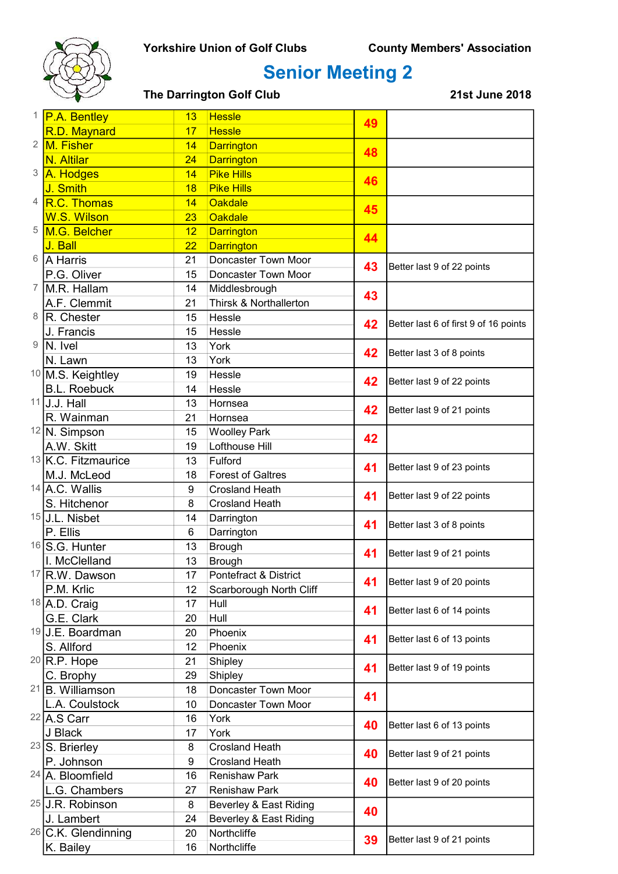

# Senior Meeting 2

#### The Darrington Golf Club 21st June 2018

|                  | <sup>1</sup> P.A. Bentley   | 13 | <b>Hessle</b>            | 49 |                                       |
|------------------|-----------------------------|----|--------------------------|----|---------------------------------------|
|                  | R.D. Maynard                | 17 | <b>Hessle</b>            |    |                                       |
| $\overline{2}$   | M. Fisher                   | 14 | <b>Darrington</b>        | 48 |                                       |
|                  | <b>N. Altilar</b>           | 24 | <b>Darrington</b>        |    |                                       |
| 3                | A. Hodges                   | 14 | <b>Pike Hills</b>        | 46 |                                       |
|                  | J. Smith                    | 18 | <b>Pike Hills</b>        |    |                                       |
| $\overline{4}$   | R.C. Thomas                 | 14 | <b>Oakdale</b>           | 45 |                                       |
|                  | <b>W.S. Wilson</b>          | 23 | <b>Oakdale</b>           |    |                                       |
| 5                | M.G. Belcher                | 12 | <b>Darrington</b>        | 44 |                                       |
|                  | J. Ball                     | 22 | <b>Darrington</b>        |    |                                       |
| 6                | <b>A</b> Harris             | 21 | Doncaster Town Moor      | 43 | Better last 9 of 22 points            |
|                  | P.G. Oliver                 | 15 | Doncaster Town Moor      |    |                                       |
| $\overline{7}$   | M.R. Hallam                 | 14 | Middlesbrough            | 43 |                                       |
|                  | A.F. Clemmit                | 21 | Thirsk & Northallerton   |    |                                       |
| 8                | R. Chester                  | 15 | Hessle                   | 42 | Better last 6 of first 9 of 16 points |
|                  | J. Francis                  | 15 | Hessle                   |    |                                       |
| $\boldsymbol{9}$ | N. Ivel                     | 13 | York                     | 42 | Better last 3 of 8 points             |
|                  | N. Lawn                     | 13 | York                     |    |                                       |
|                  | 10 M.S. Keightley           | 19 | Hessle                   | 42 |                                       |
|                  | <b>B.L. Roebuck</b>         | 14 | Hessle                   |    | Better last 9 of 22 points            |
|                  | $11$ U.J. Hall              | 13 | Hornsea                  | 42 | Better last 9 of 21 points            |
|                  | R. Wainman                  | 21 | Hornsea                  |    |                                       |
|                  | $12\sqrt{N}$ . Simpson      | 15 | <b>Woolley Park</b>      | 42 |                                       |
|                  | A.W. Skitt                  | 19 | Lofthouse Hill           |    |                                       |
|                  | 13 K.C. Fitzmaurice         | 13 | Fulford                  | 41 | Better last 9 of 23 points            |
|                  | M.J. McLeod                 | 18 | <b>Forest of Galtres</b> |    |                                       |
|                  | $14$ A.C. Wallis            | 9  | <b>Crosland Heath</b>    | 41 | Better last 9 of 22 points            |
|                  | S. Hitchenor                | 8  | <b>Crosland Heath</b>    |    |                                       |
|                  | <sup>15</sup> J.L. Nisbet   | 14 | Darrington               | 41 | Better last 3 of 8 points             |
|                  | P. Ellis                    | 6  | Darrington               |    |                                       |
|                  | $16$ S.G. Hunter            | 13 | <b>Brough</b>            | 41 | Better last 9 of 21 points            |
|                  | I. McClelland               | 13 | <b>Brough</b>            |    |                                       |
|                  | <sup>17</sup> R.W. Dawson   | 17 | Pontefract & District    | 41 | Better last 9 of 20 points            |
|                  | P.M. Krlic                  | 12 | Scarborough North Cliff  |    |                                       |
|                  | 18 A.D. Craig               | 17 | Hull                     | 41 | Better last 6 of 14 points            |
|                  | G.E. Clark                  | 20 | Hull                     |    |                                       |
|                  | <sup>19</sup> J.E. Boardman | 20 | Phoenix                  | 41 | Better last 6 of 13 points            |
|                  | S. Allford                  | 12 | Phoenix                  |    |                                       |
|                  | $20$ R.P. Hope              | 21 | Shipley                  | 41 | Better last 9 of 19 points            |
|                  | C. Brophy                   | 29 | Shipley                  |    |                                       |
|                  | $21$ B. Williamson          | 18 | Doncaster Town Moor      | 41 |                                       |
|                  | L.A. Coulstock              | 10 | Doncaster Town Moor      |    |                                       |
|                  | 22 A.S Carr                 | 16 | York                     | 40 | Better last 6 of 13 points            |
|                  | J Black                     | 17 | York                     |    |                                       |
|                  | $23$ S. Brierley            | 8  | <b>Crosland Heath</b>    | 40 | Better last 9 of 21 points            |
|                  | P. Johnson                  | 9  | <b>Crosland Heath</b>    |    |                                       |
|                  | 24 A. Bloomfield            | 16 | <b>Renishaw Park</b>     | 40 | Better last 9 of 20 points            |
|                  | L.G. Chambers               | 27 | <b>Renishaw Park</b>     |    |                                       |
|                  | <sup>25</sup> U.R. Robinson | 8  | Beverley & East Riding   | 40 |                                       |
|                  | J. Lambert                  | 24 | Beverley & East Riding   |    |                                       |
|                  | $26$ C.K. Glendinning       | 20 | Northcliffe              | 39 | Better last 9 of 21 points            |
|                  | K. Bailey                   | 16 | Northcliffe              |    |                                       |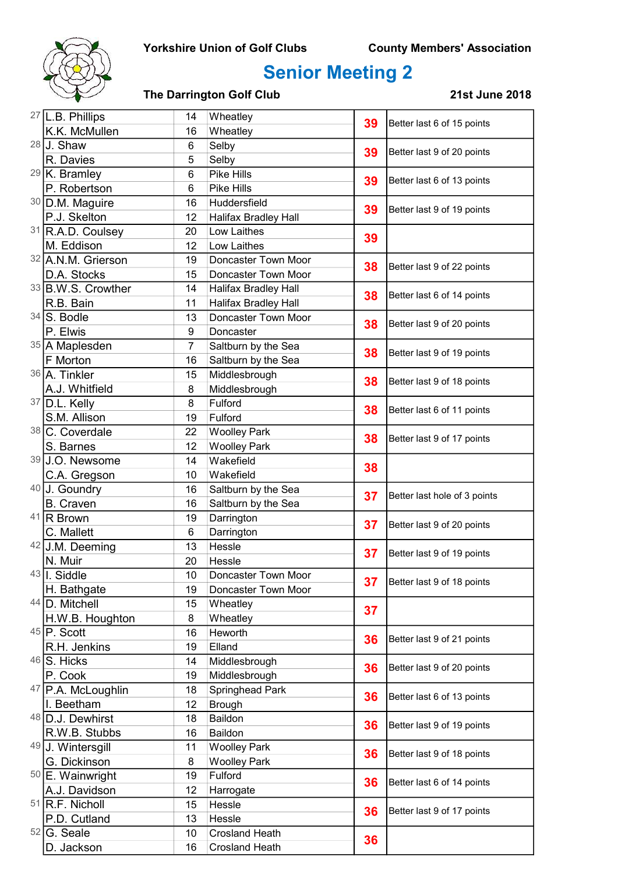

# Senior Meeting 2

### The Darrington Golf Club 21st June 2018

| <sup>27</sup> L.B. Phillips | 14<br>Wheatley  | 39                          | Better last 6 of 15 points |                              |
|-----------------------------|-----------------|-----------------------------|----------------------------|------------------------------|
| K.K. McMullen               | 16              | Wheatley                    |                            |                              |
| $28$ J. Shaw                | 6               | Selby                       | 39                         |                              |
| R. Davies                   | 5               | Selby                       |                            | Better last 9 of 20 points   |
| $29$ K. Bramley             | $6\phantom{1}6$ | <b>Pike Hills</b>           | 39                         | Better last 6 of 13 points   |
| P. Robertson                | 6               | Pike Hills                  |                            |                              |
| 30 D.M. Maguire             | 16              | Huddersfield                | 39                         | Better last 9 of 19 points   |
| P.J. Skelton                | 12              | <b>Halifax Bradley Hall</b> |                            |                              |
| 31 R.A.D. Coulsey           | 20              | Low Laithes                 | 39                         |                              |
| M. Eddison                  | 12              | Low Laithes                 |                            |                              |
| 32 A.N.M. Grierson          | 19              | Doncaster Town Moor         | 38                         | Better last 9 of 22 points   |
| D.A. Stocks                 | 15              | Doncaster Town Moor         |                            |                              |
| 33 B.W.S. Crowther          | 14              | <b>Halifax Bradley Hall</b> | 38                         | Better last 6 of 14 points   |
| R.B. Bain                   | 11              | <b>Halifax Bradley Hall</b> |                            |                              |
| $34$ S. Bodle               | 13              | Doncaster Town Moor         | 38                         | Better last 9 of 20 points   |
| P. Elwis                    | 9               | Doncaster                   |                            |                              |
| 35 A Maplesden              | $\overline{7}$  | Saltburn by the Sea         | 38                         | Better last 9 of 19 points   |
| F Morton                    | 16              | Saltburn by the Sea         |                            |                              |
| 36 A. Tinkler               | 15              | Middlesbrough               | 38                         |                              |
| A.J. Whitfield              | 8               | Middlesbrough               |                            | Better last 9 of 18 points   |
| $37$ D.L. Kelly             | 8               | Fulford                     | 38                         | Better last 6 of 11 points   |
| S.M. Allison                | 19              | Fulford                     |                            |                              |
| 38 C. Coverdale             | 22              | <b>Woolley Park</b>         | 38                         | Better last 9 of 17 points   |
| S. Barnes                   | 12              | <b>Woolley Park</b>         |                            |                              |
| 39 J.O. Newsome             | 14              | Wakefield                   | 38                         |                              |
| C.A. Gregson                | 10              | Wakefield                   |                            |                              |
| 40 J. Goundry               | 16              | Saltburn by the Sea         | 37                         | Better last hole of 3 points |
| <b>B.</b> Craven            | 16              | Saltburn by the Sea         |                            |                              |
| $41$ R Brown                | 19              | Darrington                  | 37                         | Better last 9 of 20 points   |
| C. Mallett                  | $6\phantom{1}$  | Darrington                  |                            |                              |
| 42 J.M. Deeming             | 13              | Hessle                      | 37                         | Better last 9 of 19 points   |
| N. Muir                     | 20              | Hessle                      |                            |                              |
| $43$   $\sqrt{ }$ Siddle    | 10              | Doncaster Town Moor         | 37                         | Better last 9 of 18 points   |
| H. Bathgate                 | 19              | Doncaster Town Moor         |                            |                              |
| 44 D. Mitchell              | 15              | Wheatley                    | 37                         |                              |
| H.W.B. Houghton             | 8               | Wheatley                    |                            |                              |
| $45$ P. Scott               | 16              | Heworth                     | 36                         | Better last 9 of 21 points   |
| R.H. Jenkins                | 19              | Elland                      |                            |                              |
| $46$ S. Hicks               | 14              | Middlesbrough               | 36                         | Better last 9 of 20 points   |
| P. Cook                     | 19              | Middlesbrough               |                            |                              |
| 47 P.A. McLoughlin          | 18              | Springhead Park             | 36                         | Better last 6 of 13 points   |
| I. Beetham                  | 12              | <b>Brough</b>               |                            |                              |
| 48 D.J. Dewhirst            | 18              | Baildon                     | 36                         | Better last 9 of 19 points   |
| R.W.B. Stubbs               | 16              | Baildon                     |                            |                              |
| 49 J. Wintersgill           | 11              | <b>Woolley Park</b>         | 36                         | Better last 9 of 18 points   |
| G. Dickinson                | 8               | <b>Woolley Park</b>         |                            |                              |
| <sup>50</sup> E. Wainwright | 19              | Fulford                     | 36                         | Better last 6 of 14 points   |
| A.J. Davidson               | 12              | Harrogate                   |                            |                              |
| <sup>51</sup> R.F. Nicholl  | 15              | Hessle                      | 36                         | Better last 9 of 17 points   |
| P.D. Cutland                | 13              | Hessle                      |                            |                              |
| $52$ G. Seale               | 10              | <b>Crosland Heath</b>       | 36                         |                              |
| D. Jackson                  | 16              | <b>Crosland Heath</b>       |                            |                              |